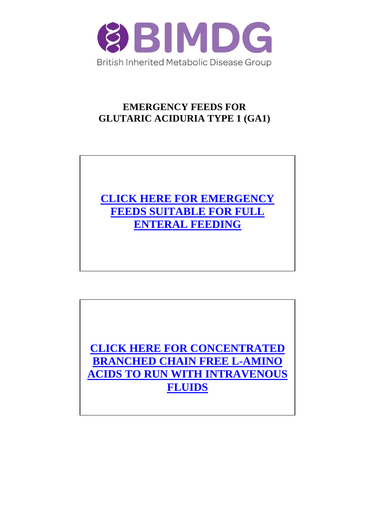

## **EMERGENCY FEEDS FOR GLUTARIC ACIDURIA TYPE 1 (GA1)**



**[CLICK HERE FOR CONCENTRATED](#page-5-0)  [BRANCHED CHAIN FREE L-AMINO](#page-5-0)  ACIDS [TO RUN WITH INTRAVENOUS](#page-5-0) [FLUIDS](#page-5-0)**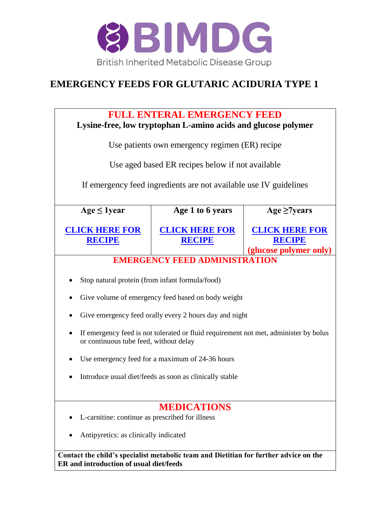

## <span id="page-1-0"></span>**EMERGENCY FEEDS FOR GLUTARIC ACIDURIA TYPE 1**

| <b>FULL ENTERAL EMERGENCY FEED</b><br>Lysine-free, low tryptophan L-amino acids and glucose polymer                              |                                                                                      |                                                                  |  |  |  |
|----------------------------------------------------------------------------------------------------------------------------------|--------------------------------------------------------------------------------------|------------------------------------------------------------------|--|--|--|
| Use patients own emergency regimen (ER) recipe                                                                                   |                                                                                      |                                                                  |  |  |  |
|                                                                                                                                  | Use aged based ER recipes below if not available                                     |                                                                  |  |  |  |
|                                                                                                                                  | If emergency feed ingredients are not available use IV guidelines                    |                                                                  |  |  |  |
| $Age \leq 1 year$                                                                                                                | Age 1 to 6 years                                                                     | Age $\geq$ 7years                                                |  |  |  |
| <b>CLICK HERE FOR</b><br><b>RECIPE</b>                                                                                           | <b>CLICK HERE FOR</b><br><b>RECIPE</b>                                               | <b>CLICK HERE FOR</b><br><b>RECIPE</b><br>(glucose polymer only) |  |  |  |
|                                                                                                                                  | <b>EMERGENCY FEED ADMINISTRATION</b>                                                 |                                                                  |  |  |  |
| Stop natural protein (from infant formula/food)                                                                                  |                                                                                      |                                                                  |  |  |  |
|                                                                                                                                  | Give volume of emergency feed based on body weight                                   |                                                                  |  |  |  |
|                                                                                                                                  | Give emergency feed orally every 2 hours day and night                               |                                                                  |  |  |  |
| or continuous tube feed, without delay                                                                                           | If emergency feed is not tolerated or fluid requirement not met, administer by bolus |                                                                  |  |  |  |
|                                                                                                                                  | Use emergency feed for a maximum of 24-36 hours                                      |                                                                  |  |  |  |
| Introduce usual diet/feeds as soon as clinically stable                                                                          |                                                                                      |                                                                  |  |  |  |
| <b>MEDICATIONS</b>                                                                                                               |                                                                                      |                                                                  |  |  |  |
| L-carnitine: continue as prescribed for illness                                                                                  |                                                                                      |                                                                  |  |  |  |
| Antipyretics: as clinically indicated                                                                                            |                                                                                      |                                                                  |  |  |  |
| Contact the child's specialist metabolic team and Dietitian for further advice on the<br>ER and introduction of usual diet/feeds |                                                                                      |                                                                  |  |  |  |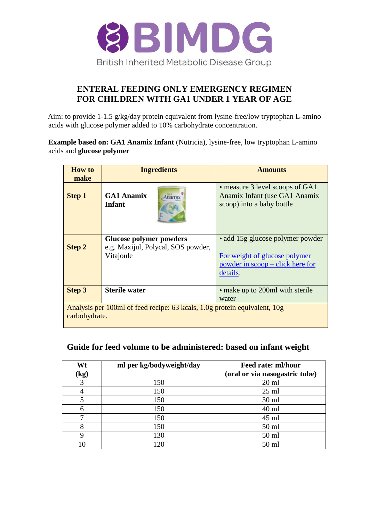

### **ENTERAL FEEDING ONLY EMERGENCY REGIMEN FOR CHILDREN WITH GA1 UNDER 1 YEAR OF AGE**

<span id="page-2-0"></span>Aim: to provide 1-1.5 g/kg/day protein equivalent from lysine-free/low tryptophan L-amino acids with glucose polymer added to 10% carbohydrate concentration.

**Example based on: GA1 Anamix Infant** (Nutricia), lysine-free, low tryptophan L-amino acids and **glucose polymer** 

| <b>How to</b><br>make                                                                      | <b>Ingredients</b>                              | <b>Amounts</b>                                                                                |  |  |
|--------------------------------------------------------------------------------------------|-------------------------------------------------|-----------------------------------------------------------------------------------------------|--|--|
| <b>Step 1</b>                                                                              | <b>GA1 Anamix</b><br>Anamix<br>Infant           | • measure 3 level scoops of GA1<br>Anamix Infant (use GA1 Anamix<br>scoop) into a baby bottle |  |  |
|                                                                                            | <b>Glucose polymer powders</b>                  | • add 15g glucose polymer powder                                                              |  |  |
| <b>Step 2</b>                                                                              | e.g. Maxijul, Polycal, SOS powder,<br>Vitajoule | For weight of glucose polymer<br>powder in scoop – click here for<br>details.                 |  |  |
| <b>Step 3</b>                                                                              | <b>Sterile water</b>                            | • make up to 200ml with sterile<br>water                                                      |  |  |
| Analysis per 100ml of feed recipe: 63 kcals, 1.0g protein equivalent, 10g<br>carbohydrate. |                                                 |                                                                                               |  |  |

#### **Guide for feed volume to be administered: based on infant weight**

| Wt<br>$\left(\mathbf{kg}\right)$ | ml per kg/bodyweight/day | Feed rate: ml/hour<br>(oral or via nasogastric tube) |
|----------------------------------|--------------------------|------------------------------------------------------|
| 3                                | 150                      | $20 \text{ ml}$                                      |
|                                  | 150                      | $25$ ml                                              |
|                                  | 150                      | 30 ml                                                |
| 6                                | 150                      | $40$ ml                                              |
| ⇁                                | 150                      | $45$ ml                                              |
|                                  | 150                      | 50 ml                                                |
| 9                                | 130                      | $50$ ml                                              |
| 10                               | 120                      | 50 ml                                                |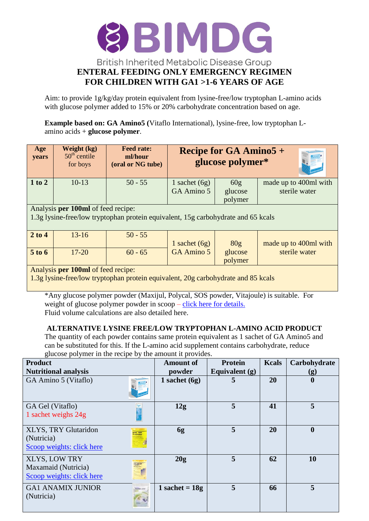

<span id="page-3-0"></span>Aim: to provide 1g/kg/day protein equivalent from lysine-free/low tryptophan L-amino acids with glucose polymer added to 15% or 20% carbohydrate concentration based on age.

**Example based on: GA Amino5 (**Vitaflo International), lysine-free, low tryptophan Lamino acids + **glucose polymer**.

| Age<br>years                                                                                                            | Weight (kg)<br>$50th$ centile<br>for boys | <b>Feed rate:</b><br>ml/hour<br>(oral or NG tube) | <b>Recipe for GA Amino5 +</b><br>glucose polymer* |                           |                                        |  |
|-------------------------------------------------------------------------------------------------------------------------|-------------------------------------------|---------------------------------------------------|---------------------------------------------------|---------------------------|----------------------------------------|--|
| $1$ to $2$                                                                                                              | $10-13$                                   | $50 - 55$                                         | 1 sachet $(6g)$<br>GA Amino 5                     | 60g<br>glucose<br>polymer | made up to 400ml with<br>sterile water |  |
| Analysis per 100ml of feed recipe:<br>1.3g lysine-free/low tryptophan protein equivalent, 15g carbohydrate and 65 kcals |                                           |                                                   |                                                   |                           |                                        |  |
| 2 to 4                                                                                                                  | $13 - 16$                                 | $50 - 55$                                         | 1 sachet $(6g)$                                   | 80 <sub>g</sub>           | made up to 400ml with                  |  |
| 5 to 6                                                                                                                  | $17 - 20$                                 | $60 - 65$                                         | GA Amino 5                                        | glucose<br>polymer        | sterile water                          |  |
| Analysis per 100ml of feed recipe:<br>1.3g lysine-free/low tryptophan protein equivalent, 20g carbohydrate and 85 kcals |                                           |                                                   |                                                   |                           |                                        |  |

\*Any glucose polymer powder (Maxijul, Polycal, SOS powder, Vitajoule) is suitable. For weight of glucose polymer powder in scoop – [click here for details.](http://www.bimdg.org.uk/store/guidelines/Volumes_and_Scoops_GA1_and_MSUD_118975_05042017.pdf) Fluid volume calculations are also detailed here.

#### **ALTERNATIVE LYSINE FREE/LOW TRYPTOPHAN L-AMINO ACID PRODUCT**

The quantity of each powder contains same protein equivalent as 1 sachet of GA Amino5 and can be substituted for this. If the L-amino acid supplement contains carbohydrate, reduce glucose polymer in the recipe by the amount it provides.

| <b>Product</b>                                                           | <b>Amount of</b> | <b>Protein</b>   | <b>Kcals</b> | Carbohydrate     |
|--------------------------------------------------------------------------|------------------|------------------|--------------|------------------|
| <b>Nutritional analysis</b>                                              | powder           | Equivalent $(g)$ |              | (g)              |
| GA Amino 5 (Vitaflo)                                                     | 1 sachet $(6g)$  | 5                | 20           | $\boldsymbol{0}$ |
| GA Gel (Vitaflo)<br>1 sachet weighs 24g                                  | 12g              | 5                | 41           | 5                |
| XLYS, TRY Glutaridon<br>(Nutricia)<br>Scoop weights: click here          | 6g               | 5                | 20           | $\boldsymbol{0}$ |
| <b>XLYS, LOW TRY</b><br>Maxamaid (Nutricia)<br>Scoop weights: click here | 20g              | 5                | 62           | 10               |
| <b>GA1 ANAMIX JUNIOR</b><br>(Nutricia)                                   | 1 sachet = $18g$ | 5                | 66           | 5                |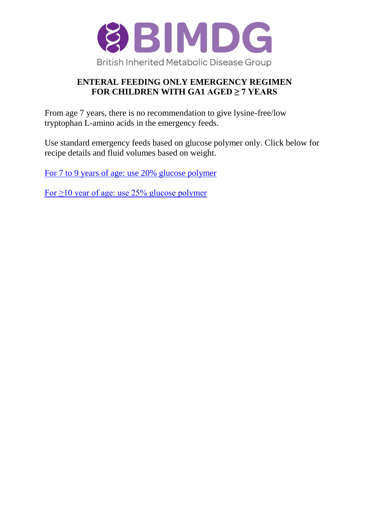

### **ENTERAL FEEDING ONLY EMERGENCY REGIMEN FOR CHILDREN WITH GA1 AGED ≥ 7 YEARS**

<span id="page-4-0"></span>From age 7 years, there is no recommendation to give lysine-free/low tryptophan L-amino acids in the emergency feeds.

Use standard emergency feeds based on glucose polymer only. Click below for recipe details and fluid volumes based on weight.

[For 7 to 9 years of age: use 20% glucose polymer](http://www.bimdg.org.uk/store/guidelines/MCADDRecipe_2_9Years_2014_384831_12052015.pdf)

For  $\geq$ 10 year of age: use 25% glucose polymer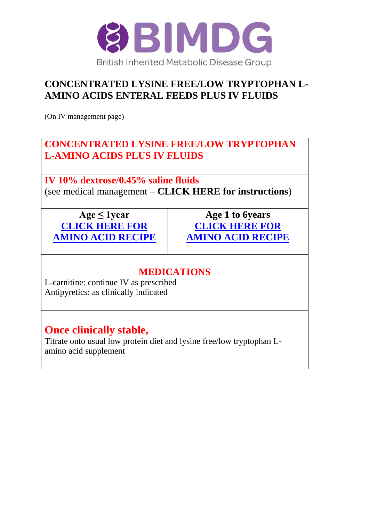

## <span id="page-5-0"></span>**CONCENTRATED LYSINE FREE/LOW TRYPTOPHAN L-AMINO ACIDS ENTERAL FEEDS PLUS IV FLUIDS**

(On IV management page)

## **CONCENTRATED LYSINE FREE/LOW TRYPTOPHAN L-AMINO ACIDS PLUS IV FLUIDS**

**IV 10% dextrose/0.45% saline fluids** (see medical management – **CLICK HERE for instructions**)

**Age ≤ 1year [CLICK HERE FOR](#page-6-0)  [AMINO ACID RECIPE](#page-6-0)**

**Age 1 to 6years [CLICK HERE FOR](#page-7-0)  [AMINO ACID RECIPE](#page-7-0)**

## **MEDICATIONS**

L-carnitine: continue IV as prescribed Antipyretics: as clinically indicated

# **Once clinically stable,**

Titrate onto usual low protein diet and lysine free/low tryptophan Lamino acid supplement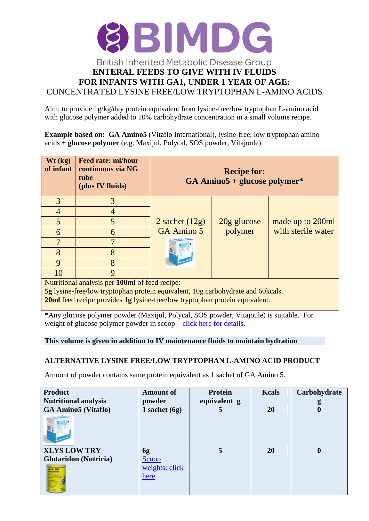

<span id="page-6-0"></span>Aim: to provide 1g/kg/day protein equivalent from lysine-free/low tryptophan L-amino acid with glucose polymer added to 10% carbohydrate concentration in a small volume recipe.

**Example based on: GA Amino5** (Vitaflo International), lysine-free, low tryptophan amino acids **+ glucose polymer** (e.g. Maxijul, Polycal, SOS powder, Vitajoule)

| Wt (kg)<br>of infant                                                                                                                                                                                                                                                                                                       | Feed rate: ml/hour<br>continuous via NG<br>tube<br>(plus IV fluids) | <b>Recipe for:</b><br>$GA$ Amino5 + glucose polymer* |               |                    |  |  |
|----------------------------------------------------------------------------------------------------------------------------------------------------------------------------------------------------------------------------------------------------------------------------------------------------------------------------|---------------------------------------------------------------------|------------------------------------------------------|---------------|--------------------|--|--|
| 3                                                                                                                                                                                                                                                                                                                          | 3                                                                   |                                                      |               |                    |  |  |
| 4                                                                                                                                                                                                                                                                                                                          |                                                                     |                                                      |               |                    |  |  |
| 5                                                                                                                                                                                                                                                                                                                          | 5                                                                   | 2 sachet $(12g)$                                     | $20g$ glucose | made up to 200ml   |  |  |
| 6                                                                                                                                                                                                                                                                                                                          | 6                                                                   | GA Amino 5                                           | polymer       | with sterile water |  |  |
|                                                                                                                                                                                                                                                                                                                            |                                                                     |                                                      |               |                    |  |  |
| 8                                                                                                                                                                                                                                                                                                                          | 8                                                                   |                                                      |               |                    |  |  |
| 9                                                                                                                                                                                                                                                                                                                          | 8                                                                   |                                                      |               |                    |  |  |
| 10                                                                                                                                                                                                                                                                                                                         | 9                                                                   |                                                      |               |                    |  |  |
| Nutritional analysis per 100ml of feed recipe:                                                                                                                                                                                                                                                                             |                                                                     |                                                      |               |                    |  |  |
| <b>5g</b> lysine-free/low tryptophan protein equivalent, 10g carbohydrate and 60kcals.<br>$\mathbf{a}$ , and the set of the set of the set of the set of the set of the set of the set of the set of the set of the set of the set of the set of the set of the set of the set of the set of the set of the set of the set |                                                                     |                                                      |               |                    |  |  |

**20ml** feed recipe provides **1g** lysine-free/low tryptophan protein equivalent.

\*Any glucose polymer powder (Maxijul, Polycal, SOS powder, Vitajoule) is suitable. For weight of glucose polymer powder in scoop – [click here for details.](http://www.bimdg.org.uk/store/guidelines/Volumes_and_Scoops_GA1_and_MSUD_118975_05042017.pdf)

#### **This volume is given in addition to IV maintenance fluids to maintain hydration**

#### **ALTERNATIVE LYSINE FREE/LOW TRYPTOPHAN L-AMINO ACID PRODUCT**

Amount of powder contains same protein equivalent as 1 sachet of GA Amino 5.

| <b>Product</b>               | <b>Amount of</b>       | <b>Protein</b> | <b>Kcals</b> | Carbohydrate     |
|------------------------------|------------------------|----------------|--------------|------------------|
| <b>Nutritional analysis</b>  | powder                 | equivalent g   |              | g                |
| <b>GA Amino5 (Vitaflo)</b>   | 1 sachet $(6g)$        | 5              | 20           | $\boldsymbol{0}$ |
|                              |                        |                |              |                  |
| <b>XLYS LOW TRY</b>          | 6g                     | 5              | 20           | $\boldsymbol{0}$ |
| <b>Glutaridon</b> (Nutricia) | Scoop                  |                |              |                  |
|                              | weights: click<br>here |                |              |                  |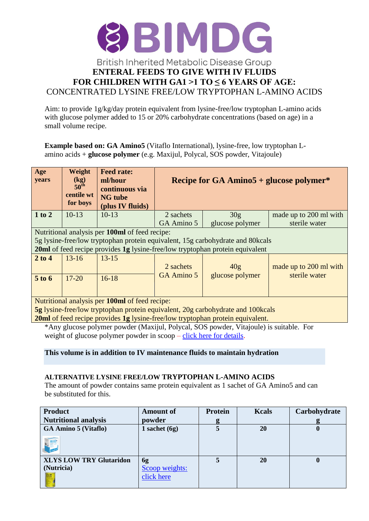

<span id="page-7-0"></span>Aim: to provide 1g/kg/day protein equivalent from lysine-free/low tryptophan L-amino acids with glucose polymer added to 15 or 20% carbohydrate concentrations (based on age) in a small volume recipe.

**Example based on: GA Amino5** (Vitaflo International), lysine-free, low tryptophan Lamino acids + **glucose polymer** (e.g. Maxijul, Polycal, SOS powder, Vitajoule)

| Age<br>years                                                                           | Weight<br>(kg)<br>$50^{\rm th}$<br>centile wt<br>for boys | <b>Feed rate:</b><br>ml/hour<br>continuous via<br><b>NG</b> tube<br>(plus IV fluids) | Recipe for GA Amino $5 +$ glucose polymer*             |                                                                                |                        |  |  |  |  |
|----------------------------------------------------------------------------------------|-----------------------------------------------------------|--------------------------------------------------------------------------------------|--------------------------------------------------------|--------------------------------------------------------------------------------|------------------------|--|--|--|--|
| 1 to 2                                                                                 | $10-13$                                                   | $10-13$                                                                              | 2 sachets                                              | 30 <sub>g</sub>                                                                | made up to 200 ml with |  |  |  |  |
|                                                                                        |                                                           |                                                                                      | GA Amino 5                                             | glucose polymer                                                                | sterile water          |  |  |  |  |
|                                                                                        |                                                           | Nutritional analysis per 100ml of feed recipe:                                       |                                                        |                                                                                |                        |  |  |  |  |
|                                                                                        |                                                           |                                                                                      |                                                        | 5g lysine-free/low tryptophan protein equivalent, 15g carbohydrate and 80kcals |                        |  |  |  |  |
|                                                                                        |                                                           |                                                                                      |                                                        | 20ml of feed recipe provides 1g lysine-free/low tryptophan protein equivalent  |                        |  |  |  |  |
| $2$ to $4$                                                                             | $13 - 16$                                                 | $13 - 15$                                                                            |                                                        |                                                                                |                        |  |  |  |  |
|                                                                                        |                                                           |                                                                                      | 2 sachets<br>40 <sub>g</sub><br>made up to 200 ml with |                                                                                |                        |  |  |  |  |
| $5$ to $6$                                                                             | $17 - 20$                                                 | $16 - 18$                                                                            | <b>GA Amino 5</b><br>glucose polymer<br>sterile water  |                                                                                |                        |  |  |  |  |
|                                                                                        |                                                           |                                                                                      |                                                        |                                                                                |                        |  |  |  |  |
| Nutritional analysis per 100ml of feed recipe:                                         |                                                           |                                                                                      |                                                        |                                                                                |                        |  |  |  |  |
| 5g lysine-free/low tryptophan protein equivalent, 20g carbohydrate and 100kcals        |                                                           |                                                                                      |                                                        |                                                                                |                        |  |  |  |  |
| <b>20ml</b> of feed recipe provides 1g lysine-free/low tryptophan protein equivalent.  |                                                           |                                                                                      |                                                        |                                                                                |                        |  |  |  |  |
| *Any glucose polymer powder (Maxijul, Polycal, SOS powder, Vitajoule) is suitable. For |                                                           |                                                                                      |                                                        |                                                                                |                        |  |  |  |  |

\*Any glucose polymer powder (Maxijul, Polycal, SOS powder, Vitajoule) is suitable. For weight of glucose polymer powder in scoop – [click here for details.](http://www.bimdg.org.uk/store/guidelines/Volumes_and_Scoops_GA1_and_MSUD_118975_05042017.pdf)

#### **This volume is in addition to IV maintenance fluids to maintain hydration**

#### **ALTERNATIVE LYSINE FREE/LOW TRYPTOPHAN L-AMINO ACIDS**

The amount of powder contains same protein equivalent as 1 sachet of GA Amino5 and can be substituted for this.

| <b>Product</b>                 | <b>Amount of</b> | Protein | <b>Kcals</b> | Carbohydrate |
|--------------------------------|------------------|---------|--------------|--------------|
| <b>Nutritional analysis</b>    | powder           | g       |              |              |
| <b>GA Amino 5 (Vitaflo)</b>    | 1 sachet $(6g)$  |         | 20           | $\bf{0}$     |
|                                |                  |         |              |              |
| <b>XLYS LOW TRY Glutaridon</b> | 6g               |         | 20           | $\mathbf{0}$ |
| (Nutricia)                     | Scoop weights:   |         |              |              |
|                                | click here       |         |              |              |